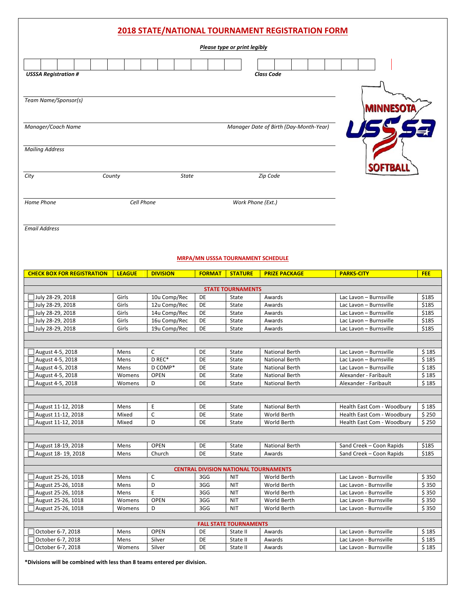| <b>2018 STATE/NATIONAL TOURNAMENT REGISTRATION FORM</b> |  |
|---------------------------------------------------------|--|
|---------------------------------------------------------|--|

|                                      |                |                              |               | Please type or print legibly             |                                        |                                                  |                |
|--------------------------------------|----------------|------------------------------|---------------|------------------------------------------|----------------------------------------|--------------------------------------------------|----------------|
| <b>USSSA Registration #</b>          |                |                              |               |                                          | <b>Class Code</b>                      |                                                  |                |
| Team Name/Sponsor(s)                 |                |                              |               |                                          |                                        |                                                  |                |
| Manager/Coach Name                   |                |                              |               |                                          | Manager Date of Birth (Day-Month-Year) |                                                  |                |
| <b>Mailing Address</b>               |                |                              |               |                                          |                                        |                                                  |                |
| City                                 | County         | <b>State</b>                 |               |                                          | Zip Code                               |                                                  |                |
| Home Phone                           | Cell Phone     |                              |               | Work Phone (Ext.)                        |                                        |                                                  |                |
| <b>Email Address</b>                 |                |                              |               |                                          |                                        |                                                  |                |
|                                      |                |                              |               |                                          |                                        |                                                  |                |
|                                      |                |                              |               | <b>MRPA/MN USSSA TOURNAMENT SCHEDULE</b> |                                        |                                                  |                |
| <b>CHECK BOX FOR REGISTRATION</b>    | <b>LEAGUE</b>  | <b>DIVISION</b>              | <b>FORMAT</b> | <b>STATURE</b>                           | <b>PRIZE PACKAGE</b>                   | <b>PARKS-CITY</b>                                | <b>FEE</b>     |
|                                      |                |                              |               |                                          |                                        |                                                  |                |
|                                      |                |                              |               | <b>STATE TOURNAMENTS</b>                 |                                        |                                                  |                |
| July 28-29, 2018                     | Girls          | 10u Comp/Rec                 | DE            | State                                    | Awards                                 | Lac Lavon - Burnsville                           | \$185          |
| July 28-29, 2018                     | Girls          | 12u Comp/Rec                 | DE            | State                                    | Awards                                 | Lac Lavon - Burnsville                           | \$185          |
| July 28-29, 2018<br>July 28-29, 2018 | Girls<br>Girls | 14u Comp/Rec<br>16u Comp/Rec | DE<br>DE      | State<br>State                           | Awards<br>Awards                       | Lac Lavon - Burnsville<br>Lac Lavon - Burnsville | \$185<br>\$185 |

| August 4-5, 2018 | Mens   |             | DE | State | <b>National Berth</b> | Lac Lavon - Burnsville | \$185 |
|------------------|--------|-------------|----|-------|-----------------------|------------------------|-------|
| August 4-5, 2018 | Mens   | D REC*      | DE | State | <b>National Berth</b> | Lac Lavon - Burnsville | \$185 |
| August 4-5, 2018 | Mens   | D COMP*     | DE | State | National Berth        | Lac Lavon - Burnsville | \$185 |
| August 4-5, 2018 | Womens | <b>OPEN</b> | DE | State | <b>National Berth</b> | Alexander - Faribault  | \$185 |
| August 4-5, 2018 | Womens |             | DE | State | <b>National Berth</b> | Alexander - Faribault  | \$185 |
|                  |        |             |    |       |                       |                        |       |
|                  |        |             |    |       |                       |                        |       |

| August 11-12, 2018 | Mens  | DE | State | <b>National Berth</b> | Health East Com - Woodbury | 185   |
|--------------------|-------|----|-------|-----------------------|----------------------------|-------|
| August 11-12, 2018 | Mixed | DE | State | World Berth           | Health East Com - Woodbury | \$250 |
| August 11-12, 2018 | Mixed | DE | State | World Berth           | Health East Com - Woodbury | \$250 |
|                    |       |    |       |                       |                            |       |

| August 18-19, 2018 | Mens | <b>OPEN</b> | DE | State | <b>National Berth</b> | Sand Creek - Coon Rapids | \$185 |
|--------------------|------|-------------|----|-------|-----------------------|--------------------------|-------|
| August 18-19, 2018 | Mens | Church      | DE | State | Awards                | Sand Creek – Coon Rapids | \$185 |
|                    |      |             |    |       |                       |                          |       |

| <b>CENTRAL DIVISION NATIONAL TOURNAMENTS</b> |        |             |     |            |             |                        |       |
|----------------------------------------------|--------|-------------|-----|------------|-------------|------------------------|-------|
| $\sqrt{ }$ August 25-26, 1018                | Mens   | ◡           | 3GG | <b>NIT</b> | World Berth | Lac Lavon - Burnsville | \$350 |
| August 25-26, 1018                           | Mens   | D           | 3GG | <b>NIT</b> | World Berth | Lac Lavon - Burnsville | \$350 |
| August 25-26, 1018                           | Mens   |             | 3GG | <b>NIT</b> | World Berth | Lac Lavon - Burnsville | \$350 |
| August 25-26, 1018                           | Womens | <b>OPEN</b> | 3GG | <b>NIT</b> | World Berth | Lac Lavon - Burnsville | \$350 |
| $\sqrt{4}$ August 25-26, 1018                | Womens |             | 3GG | <b>NIT</b> | World Berth | Lac Lavon - Burnsville | \$350 |
|                                              |        |             |     |            |             |                        |       |

| <b>FALL STATE TOURNAMENTS</b> |        |             |    |          |        |                        |        |
|-------------------------------|--------|-------------|----|----------|--------|------------------------|--------|
| October 6-7, 2018             | Mens   | <b>OPEN</b> | DE | State II | Awards | Lac Lavon - Burnsville | \$ 185 |
| October 6-7, 2018             | Mens   | Silver      | DE | State II | Awards | Lac Lavon - Burnsville | \$185  |
| l October 6-7. 2018           | Womens | Silver      | DE | State II | Awards | Lac Lavon - Burnsville | 185 ۋ  |

 **\*Divisions will be combined with less than 8 teams entered per division.**